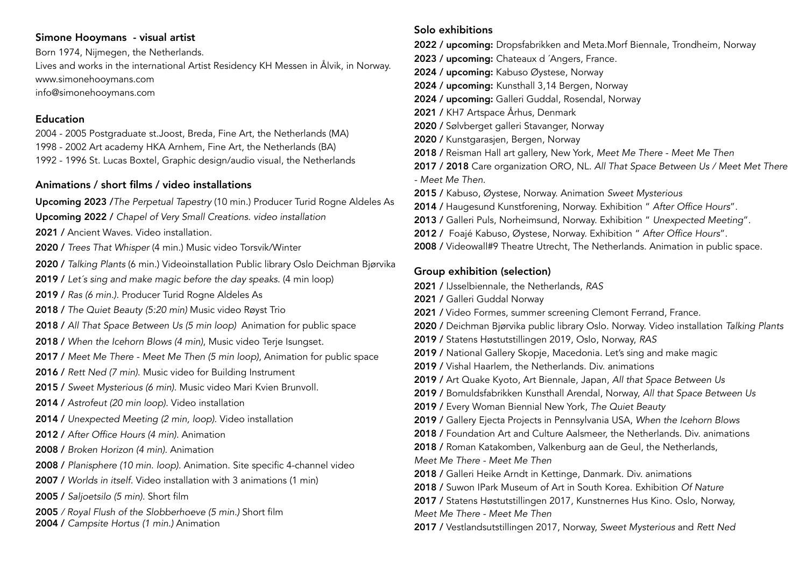# Simone Hooymans - visual artist

Born 1974, Nijmegen, the Netherlands.

Lives and works in the international Artist Residency KH Messen in Ålvik, in Norway. [www.simonehooymans.com](http://www.simonehooymans.com/) [info@simonehooymans.com](mailto:info@simonehooymans.com)

## Education

2004 - 2005 Postgraduate st.Joost, Breda, Fine Art, the Netherlands (MA) 1998 - 2002 Art academy HKA Arnhem, Fine Art, the Netherlands (BA) 1992 - 1996 St. Lucas Boxtel, Graphic design/audio visual, the Netherlands

## Animations / short films / video installations

Upcoming 2023 /*The Perpetual Tapestry* (10 min.) Producer Turid Rogne Aldeles As

Upcoming 2022 / *Chapel of Very Small Creations. video installation*

- 2021 / Ancient Waves. Video installation.
- 2020 / *Trees That Whisper* (4 min.) Music video Torsvik/Winter

2020 / *Talking Plants* (6 min.) Videoinstallation Public library Oslo Deichman Bjørvika

- 2019 / *Let´s sing and make magic before the day speaks.* (4 min loop)
- 2019 / *Ras (6 min.)*. Producer Turid Rogne Aldeles As
- 2018 / *The Quiet Beauty (5:20 min)* Music video Røyst Trio
- 2018 / *All That Space Between Us (5 min loop)* Animation for public space
- 2018 / *When the Icehorn Blows (4 min)*, Music video Terje Isungset.
- 2017 / *Meet Me There Meet Me Then (5 min loop)*, Animation for public space
- 2016 / *Rett Ned (7 min)*. Music video for Building Instrument
- 2015 / *Sweet Mysterious (6 min)*. Music video Mari Kvien Brunvoll.
- 2014 / *Astrofeut (20 min loop)*. Video installation
- 2014 / *Unexpected Meeting (2 min, loop)*. Video installation
- 2012 / *After Office Hours (4 min)*. Animation
- 2008 / *Broken Horizon (4 min)*. Animation
- 2008 / *Planisphere (10 min. loop)*. Animation. Site specific 4-channel video
- 2007 / *Worlds in itself.* Video installation with 3 animations (1 min)
- 2005 / *Saljoetsilo (5 min)*. Short film
- 2005 */ Royal Flush of the Slobberhoeve (5 min.)* Short film
- 2004 / *Campsite Hortus (1 min.)* Animation

# Solo exhibitions

2022 / upcoming: Dropsfabrikken and Meta.Morf Biennale, Trondheim, Norway

- 2023 / upcoming: Chateaux d'Angers, France.
- 2024 / upcoming: Kabuso Øystese, Norway
- 2024 / upcoming: Kunsthall 3,14 Bergen, Norway
- 2024 / upcoming: Galleri Guddal, Rosendal, Norway
- 2021 / KH7 Artspace Århus, Denmark
- 2020 / Sølvberget galleri Stavanger, Norway
- 2020 / Kunstgarasjen, Bergen, Norway
- 2018 / Reisman Hall art gallery, New York, *Meet Me There Meet Me Then*
- 2017 / 2018 Care organization ORO, NL. *All That Space Between Us / Meet Met There - Meet Me Then.*
- 2015 / Kabuso, Øystese, Norway. Animation *Sweet Mysterious*
- 2014 / Haugesund Kunstforening, Norway. Exhibition " *After Office Hours*".
- 2013 / Galleri Puls, Norheimsund, Norway. Exhibition " *Unexpected Meeting*".
- 2012 / Foajé Kabuso, Øystese, Norway. Exhibition " *After Office Hours*".
- 2008 / Videowall#9 Theatre Utrecht, The Netherlands. Animation in public space.

# Group exhibition (selection)

- 2021 / IJsselbiennale, the Netherlands, *RAS*
- 2021 / Galleri Guddal Norway
- 2021 / Video Formes, summer screening Clemont Ferrand, France.
- 2020 / Deichman Bjørvika public library Oslo. Norway. Video installation *Talking Plants*
- 2019 / Statens Høstutstillingen 2019, Oslo, Norway, *RAS*
- 2019 / National Gallery Skopje, Macedonia. Let's sing and make magic
- 2019 / Vishal Haarlem, the Netherlands. Div. animations
- 2019 / Art Quake Kyoto, Art Biennale, Japan, *All that Space Between Us*
- 2019 / Bomuldsfabrikken Kunsthall Arendal, Norway, *All that Space Between Us*
- 2019 / Every Woman Biennial New York, *The Quiet Beauty*
- 2019 / Gallery Ejecta Projects in Pennsylvania USA, *When the Icehorn Blows*
- 2018 / Foundation Art and Culture Aalsmeer, the Netherlands. Div. animations
- 2018 / Roman Katakomben, Valkenburg aan de Geul, the Netherlands,
- *Meet Me There Meet Me Then*
- 2018 / Galleri Heike Arndt in Kettinge, Danmark. Div. animations
- 2018 / Suwon IPark Museum of Art in South Korea. Exhibition *Of Nature*
- 2017 / Statens Høstutstillingen 2017, Kunstnernes Hus Kino. Oslo, Norway,
- *Meet Me There Meet Me Then*
- 2017 / Vestlandsutstillingen 2017, Norway, *Sweet Mysterious* and *Rett Ned*